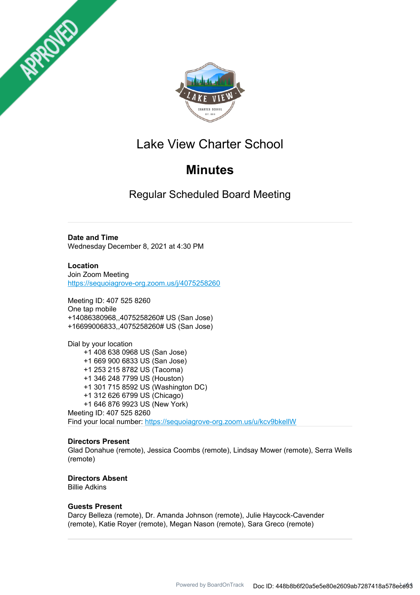



# Lake View Charter School

# **Minutes**

Regular Scheduled Board Meeting

#### **Date and Time**

Wednesday December 8, 2021 at 4:30 PM

**Location** Join Zoom Meeting https://sequoiagrove-org.zoom.us/j/4075258260

Meeting ID: 407 525 8260 One tap mobile +14086380968,,4075258260# US (San Jose) +16699006833,,4075258260# US (San Jose)

Dial by your location +1 408 638 0968 US (San Jose) +1 669 900 6833 US (San Jose) +1 253 215 8782 US (Tacoma) +1 346 248 7799 US (Houston) +1 301 715 8592 US (Washington DC) +1 312 626 6799 US (Chicago) +1 646 876 9923 US (New York) Meeting ID: 407 525 8260 Find your local number: https://sequoiagrove-org.zoom.us/u/kcv9bkellW

#### **Directors Present**

Glad Donahue (remote), Jessica Coombs (remote), Lindsay Mower (remote), Serra Wells (remote)

### **Directors Absent**

Billie Adkins

#### **Guests Present**

Darcy Belleza (remote), Dr. Amanda Johnson (remote), Julie Haycock-Cavender (remote), Katie Royer (remote), Megan Nason (remote), Sara Greco (remote)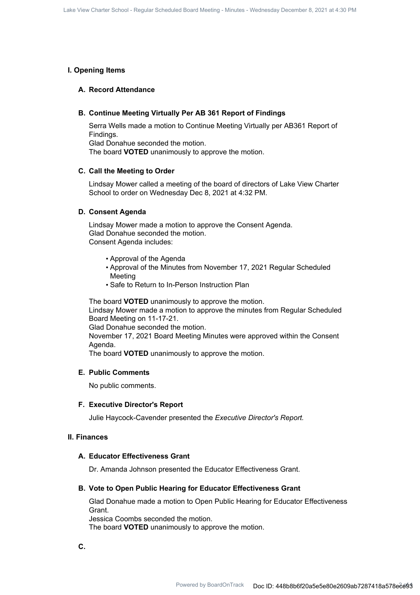#### **I. Opening Items**

#### **A. Record Attendance**

#### **B. Continue Meeting Virtually Per AB 361 Report of Findings**

Serra Wells made a motion to Continue Meeting Virtually per AB361 Report of Findings. Glad Donahue seconded the motion.

The board **VOTED** unanimously to approve the motion.

#### **C. Call the Meeting to Order**

Lindsay Mower called a meeting of the board of directors of Lake View Charter School to order on Wednesday Dec 8, 2021 at 4:32 PM.

#### **D. Consent Agenda**

Lindsay Mower made a motion to approve the Consent Agenda. Glad Donahue seconded the motion. Consent Agenda includes:

- Approval of the Agenda
- Approval of the Minutes from November 17, 2021 Regular Scheduled Meeting
- Safe to Return to In-Person Instruction Plan

The board **VOTED** unanimously to approve the motion.

Lindsay Mower made a motion to approve the minutes from Regular Scheduled Board Meeting on 11-17-21.

Glad Donahue seconded the motion.

November 17, 2021 Board Meeting Minutes were approved within the Consent Agenda.

The board **VOTED** unanimously to approve the motion.

#### **E. Public Comments**

No public comments.

#### **F. Executive Director's Report**

Julie Haycock-Cavender presented the *Executive Director's Report.*

#### **II. Finances**

#### **A. Educator Effectiveness Grant**

Dr. Amanda Johnson presented the Educator Effectiveness Grant.

#### **B. Vote to Open Public Hearing for Educator Effectiveness Grant**

Glad Donahue made a motion to Open Public Hearing for Educator Effectiveness Grant.

Jessica Coombs seconded the motion. The board **VOTED** unanimously to approve the motion.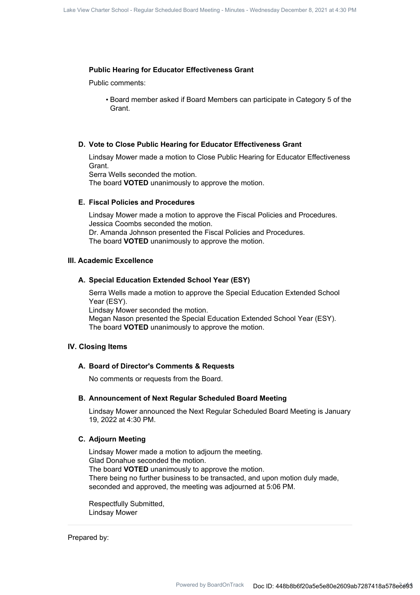#### **Public Hearing for Educator Effectiveness Grant**

Public comments:

• Board member asked if Board Members can participate in Category 5 of the Grant.

#### **D. Vote to Close Public Hearing for Educator Effectiveness Grant**

Lindsay Mower made a motion to Close Public Hearing for Educator Effectiveness Grant.

Serra Wells seconded the motion.

The board **VOTED** unanimously to approve the motion.

#### **E. Fiscal Policies and Procedures**

Lindsay Mower made a motion to approve the Fiscal Policies and Procedures. Jessica Coombs seconded the motion. Dr. Amanda Johnson presented the Fiscal Policies and Procedures. The board **VOTED** unanimously to approve the motion.

#### **III. Academic Excellence**

#### **A. Special Education Extended School Year (ESY)**

Serra Wells made a motion to approve the Special Education Extended School Year (ESY). Lindsay Mower seconded the motion.

Megan Nason presented the Special Education Extended School Year (ESY). The board **VOTED** unanimously to approve the motion.

#### **IV. Closing Items**

#### **A. Board of Director's Comments & Requests**

No comments or requests from the Board.

#### **B. Announcement of Next Regular Scheduled Board Meeting**

Lindsay Mower announced the Next Regular Scheduled Board Meeting is January 19, 2022 at 4:30 PM.

#### **C. Adjourn Meeting**

Lindsay Mower made a motion to adjourn the meeting. Glad Donahue seconded the motion. The board **VOTED** unanimously to approve the motion. There being no further business to be transacted, and upon motion duly made, seconded and approved, the meeting was adjourned at 5:06 PM.

Respectfully Submitted, Lindsay Mower

Prepared by: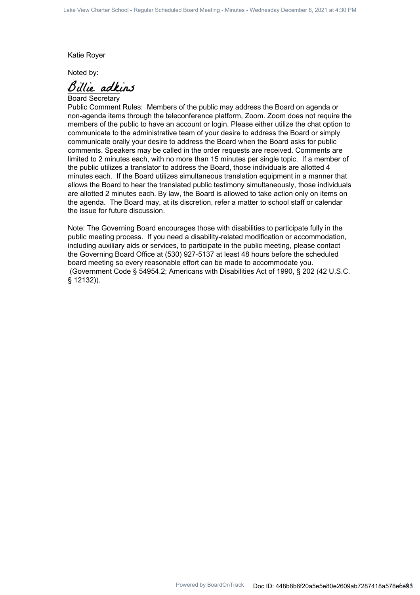Katie Royer

Noted by:

Billie adkins

Board Secretary

Public Comment Rules: Members of the public may address the Board on agenda or non-agenda items through the teleconference platform, Zoom. Zoom does not require the members of the public to have an account or login. Please either utilize the chat option to communicate to the administrative team of your desire to address the Board or simply communicate orally your desire to address the Board when the Board asks for public comments. Speakers may be called in the order requests are received. Comments are limited to 2 minutes each, with no more than 15 minutes per single topic. If a member of the public utilizes a translator to address the Board, those individuals are allotted 4 minutes each. If the Board utilizes simultaneous translation equipment in a manner that allows the Board to hear the translated public testimony simultaneously, those individuals are allotted 2 minutes each. By law, the Board is allowed to take action only on items on the agenda. The Board may, at its discretion, refer a matter to school staff or calendar the issue for future discussion.

Note: The Governing Board encourages those with disabilities to participate fully in the public meeting process. If you need a disability-related modification or accommodation, including auxiliary aids or services, to participate in the public meeting, please contact the Governing Board Office at (530) 927-5137 at least 48 hours before the scheduled board meeting so every reasonable effort can be made to accommodate you. (Government Code § 54954.2; Americans with Disabilities Act of 1990, § 202 (42 U.S.C. § 12132)).